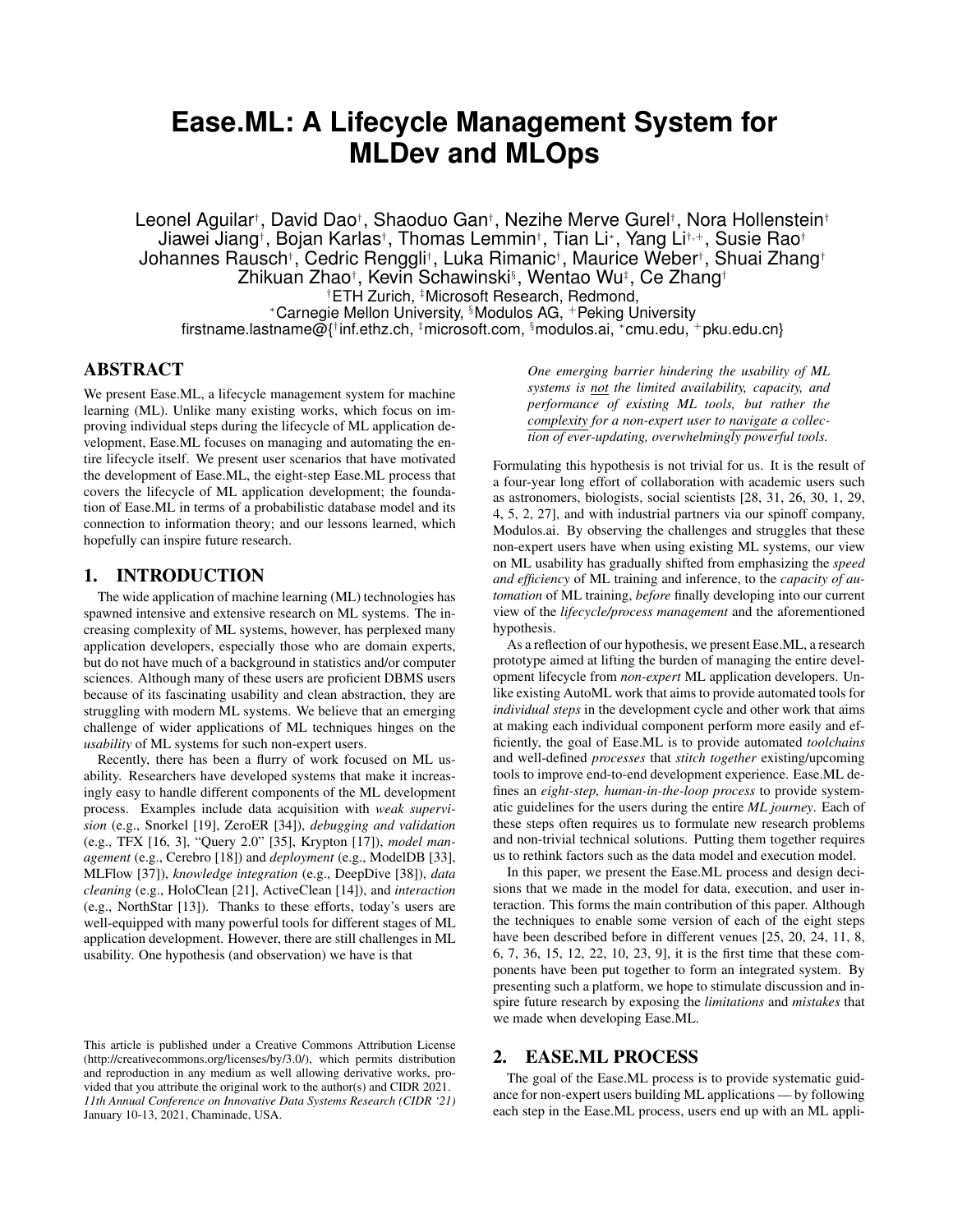# **Ease.ML: A Lifecycle Management System for MLDev and MLOps**

Leonel Aguilar<sup>†</sup>, David Dao<sup>†</sup>, Shaoduo Gan†, Nezihe Merve Gurel†, Nora Hollenstein† Jiawei Jiang†, Bojan Karlas†, Thomas Lemmin†, Tian Li\*, Yang Li†<sub>'</sub>+, Susie Rao† Johannes Rausch† , Cedric Renggli† , Luka Rimanic† , Maurice Weber† , Shuai Zhang† Zhikuan Zhao† , Kevin Schawinski§ , Wentao Wu‡ , Ce Zhang† †ETH Zurich, ‡Microsoft Research, Redmond, <sup>∗</sup>Carnegie Mellon University, §Modulos AG, <sup>+</sup>Peking University firstname.lastname@{† inf.ethz.ch, ‡microsoft.com, §modulos.ai, <sup>∗</sup> cmu.edu, <sup>+</sup>pku.edu.cn}

# ABSTRACT

We present Ease.ML, a lifecycle management system for machine learning (ML). Unlike many existing works, which focus on improving individual steps during the lifecycle of ML application development, Ease.ML focuses on managing and automating the entire lifecycle itself. We present user scenarios that have motivated the development of Ease.ML, the eight-step Ease.ML process that covers the lifecycle of ML application development; the foundation of Ease.ML in terms of a probabilistic database model and its connection to information theory; and our lessons learned, which hopefully can inspire future research.

# 1. INTRODUCTION

The wide application of machine learning (ML) technologies has spawned intensive and extensive research on ML systems. The increasing complexity of ML systems, however, has perplexed many application developers, especially those who are domain experts, but do not have much of a background in statistics and/or computer sciences. Although many of these users are proficient DBMS users because of its fascinating usability and clean abstraction, they are struggling with modern ML systems. We believe that an emerging challenge of wider applications of ML techniques hinges on the *usability* of ML systems for such non-expert users.

Recently, there has been a flurry of work focused on ML usability. Researchers have developed systems that make it increasingly easy to handle different components of the ML development process. Examples include data acquisition with *weak supervision* (e.g., Snorkel [19], ZeroER [34]), *debugging and validation* (e.g., TFX [16, 3], "Query 2.0" [35], Krypton [17]), *model management* (e.g., Cerebro [18]) and *deployment* (e.g., ModelDB [33], MLFlow [37]), *knowledge integration* (e.g., DeepDive [38]), *data cleaning* (e.g., HoloClean [21], ActiveClean [14]), and *interaction* (e.g., NorthStar [13]). Thanks to these efforts, today's users are well-equipped with many powerful tools for different stages of ML application development. However, there are still challenges in ML usability. One hypothesis (and observation) we have is that

*One emerging barrier hindering the usability of ML systems is not the limited availability, capacity, and performance of existing ML tools, but rather the complexity for a non-expert user to navigate a collection of ever-updating, overwhelmingly powerful tools.*

Formulating this hypothesis is not trivial for us. It is the result of a four-year long effort of collaboration with academic users such as astronomers, biologists, social scientists [28, 31, 26, 30, 1, 29, 4, 5, 2, 27], and with industrial partners via our spinoff company, Modulos.ai. By observing the challenges and struggles that these non-expert users have when using existing ML systems, our view on ML usability has gradually shifted from emphasizing the *speed and efficiency* of ML training and inference, to the *capacity of automation* of ML training, *before* finally developing into our current view of the *lifecycle/process management* and the aforementioned hypothesis.

As a reflection of our hypothesis, we present Ease.ML, a research prototype aimed at lifting the burden of managing the entire development lifecycle from *non-expert* ML application developers. Unlike existing AutoML work that aims to provide automated tools for *individual steps* in the development cycle and other work that aims at making each individual component perform more easily and efficiently, the goal of Ease.ML is to provide automated *toolchains* and well-defined *processes* that *stitch together* existing/upcoming tools to improve end-to-end development experience. Ease.ML defines an *eight-step, human-in-the-loop process* to provide systematic guidelines for the users during the entire *ML journey*. Each of these steps often requires us to formulate new research problems and non-trivial technical solutions. Putting them together requires us to rethink factors such as the data model and execution model.

In this paper, we present the Ease.ML process and design decisions that we made in the model for data, execution, and user interaction. This forms the main contribution of this paper. Although the techniques to enable some version of each of the eight steps have been described before in different venues [25, 20, 24, 11, 8, 6, 7, 36, 15, 12, 22, 10, 23, 9], it is the first time that these components have been put together to form an integrated system. By presenting such a platform, we hope to stimulate discussion and inspire future research by exposing the *limitations* and *mistakes* that we made when developing Ease.ML.

# 2. EASE.ML PROCESS

The goal of the Ease.ML process is to provide systematic guidance for non-expert users building ML applications — by following each step in the Ease.ML process, users end up with an ML appli-

This article is published under a Creative Commons Attribution License (http://creativecommons.org/licenses/by/3.0/), which permits distribution and reproduction in any medium as well allowing derivative works, provided that you attribute the original work to the author(s) and CIDR 2021. *11th Annual Conference on Innovative Data Systems Research (CIDR '21)* January 10-13, 2021, Chaminade, USA.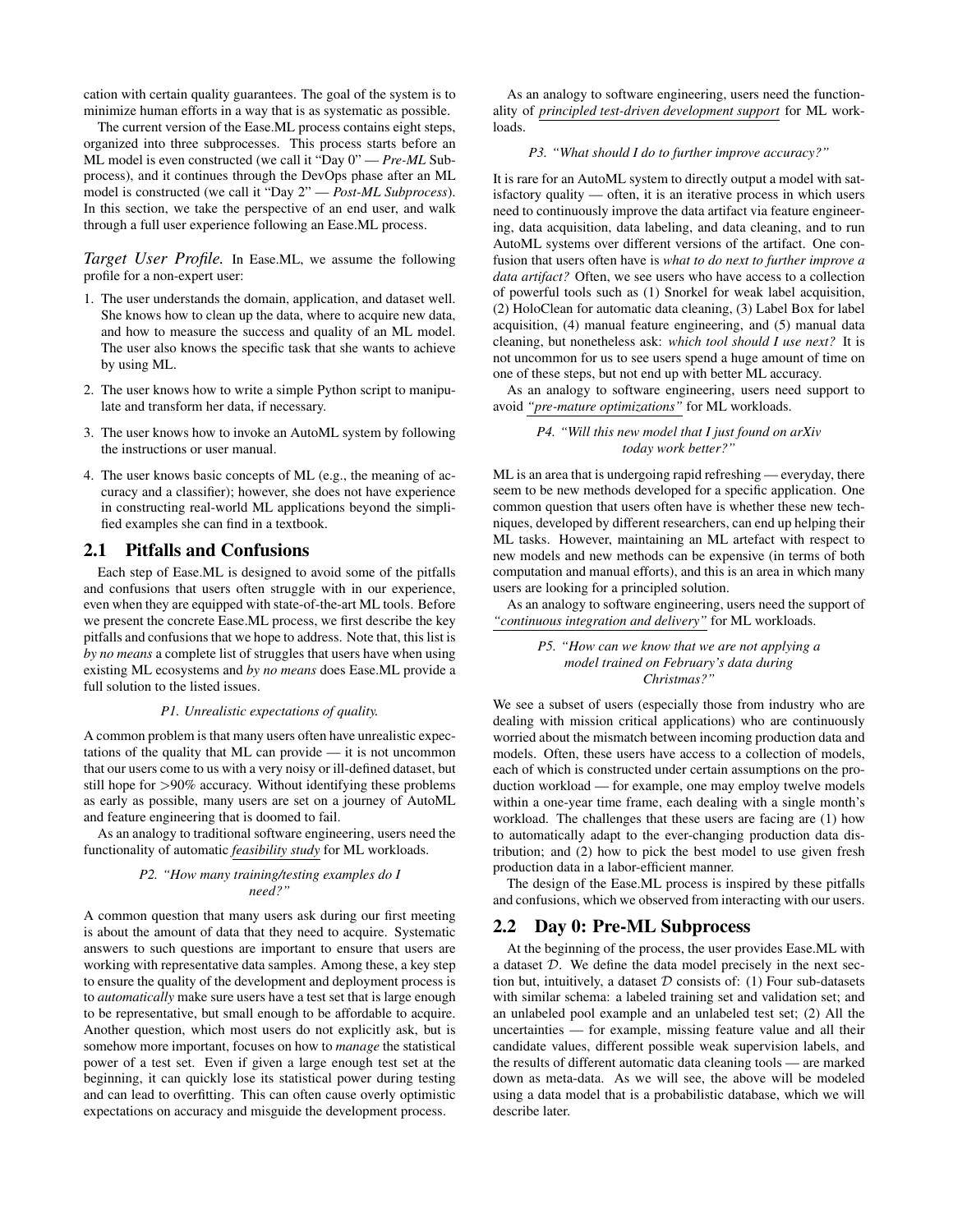cation with certain quality guarantees. The goal of the system is to minimize human efforts in a way that is as systematic as possible.

The current version of the Ease.ML process contains eight steps, organized into three subprocesses. This process starts before an ML model is even constructed (we call it "Day 0" — *Pre-ML* Subprocess), and it continues through the DevOps phase after an ML model is constructed (we call it "Day 2" — *Post-ML Subprocess*). In this section, we take the perspective of an end user, and walk through a full user experience following an Ease.ML process.

*Target User Profile.* In Ease.ML, we assume the following profile for a non-expert user:

- 1. The user understands the domain, application, and dataset well. She knows how to clean up the data, where to acquire new data, and how to measure the success and quality of an ML model. The user also knows the specific task that she wants to achieve by using ML.
- 2. The user knows how to write a simple Python script to manipulate and transform her data, if necessary.
- 3. The user knows how to invoke an AutoML system by following the instructions or user manual.
- 4. The user knows basic concepts of ML (e.g., the meaning of accuracy and a classifier); however, she does not have experience in constructing real-world ML applications beyond the simplified examples she can find in a textbook.

# 2.1 Pitfalls and Confusions

Each step of Ease.ML is designed to avoid some of the pitfalls and confusions that users often struggle with in our experience, even when they are equipped with state-of-the-art ML tools. Before we present the concrete Ease.ML process, we first describe the key pitfalls and confusions that we hope to address. Note that, this list is *by no means* a complete list of struggles that users have when using existing ML ecosystems and *by no means* does Ease.ML provide a full solution to the listed issues.

#### *P1. Unrealistic expectations of quality.*

A common problem is that many users often have unrealistic expectations of the quality that ML can provide — it is not uncommon that our users come to us with a very noisy or ill-defined dataset, but still hope for >90% accuracy. Without identifying these problems as early as possible, many users are set on a journey of AutoML and feature engineering that is doomed to fail.

As an analogy to traditional software engineering, users need the functionality of automatic *feasibility study* for ML workloads.

#### *P2. "How many training/testing examples do I need?"*

A common question that many users ask during our first meeting is about the amount of data that they need to acquire. Systematic answers to such questions are important to ensure that users are working with representative data samples. Among these, a key step to ensure the quality of the development and deployment process is to *automatically* make sure users have a test set that is large enough to be representative, but small enough to be affordable to acquire. Another question, which most users do not explicitly ask, but is somehow more important, focuses on how to *manage* the statistical power of a test set. Even if given a large enough test set at the beginning, it can quickly lose its statistical power during testing and can lead to overfitting. This can often cause overly optimistic expectations on accuracy and misguide the development process.

As an analogy to software engineering, users need the functionality of *principled test-driven development support* for ML workloads.

#### *P3. "What should I do to further improve accuracy?"*

It is rare for an AutoML system to directly output a model with satisfactory quality — often, it is an iterative process in which users need to continuously improve the data artifact via feature engineering, data acquisition, data labeling, and data cleaning, and to run AutoML systems over different versions of the artifact. One confusion that users often have is *what to do next to further improve a data artifact?* Often, we see users who have access to a collection of powerful tools such as (1) Snorkel for weak label acquisition, (2) HoloClean for automatic data cleaning, (3) Label Box for label acquisition, (4) manual feature engineering, and (5) manual data cleaning, but nonetheless ask: *which tool should I use next?* It is not uncommon for us to see users spend a huge amount of time on one of these steps, but not end up with better ML accuracy.

As an analogy to software engineering, users need support to avoid *"pre-mature optimizations"* for ML workloads.

#### *P4. "Will this new model that I just found on arXiv today work better?"*

ML is an area that is undergoing rapid refreshing — everyday, there seem to be new methods developed for a specific application. One common question that users often have is whether these new techniques, developed by different researchers, can end up helping their ML tasks. However, maintaining an ML artefact with respect to new models and new methods can be expensive (in terms of both computation and manual efforts), and this is an area in which many users are looking for a principled solution.

As an analogy to software engineering, users need the support of *"continuous integration and delivery"* for ML workloads.

> *P5. "How can we know that we are not applying a model trained on February's data during Christmas?"*

We see a subset of users (especially those from industry who are dealing with mission critical applications) who are continuously worried about the mismatch between incoming production data and models. Often, these users have access to a collection of models, each of which is constructed under certain assumptions on the production workload — for example, one may employ twelve models within a one-year time frame, each dealing with a single month's workload. The challenges that these users are facing are (1) how to automatically adapt to the ever-changing production data distribution; and (2) how to pick the best model to use given fresh production data in a labor-efficient manner.

The design of the Ease.ML process is inspired by these pitfalls and confusions, which we observed from interacting with our users.

#### 2.2 Day 0: Pre-ML Subprocess

At the beginning of the process, the user provides Ease.ML with a dataset D. We define the data model precisely in the next section but, intuitively, a dataset  $D$  consists of: (1) Four sub-datasets with similar schema: a labeled training set and validation set; and an unlabeled pool example and an unlabeled test set; (2) All the uncertainties — for example, missing feature value and all their candidate values, different possible weak supervision labels, and the results of different automatic data cleaning tools — are marked down as meta-data. As we will see, the above will be modeled using a data model that is a probabilistic database, which we will describe later.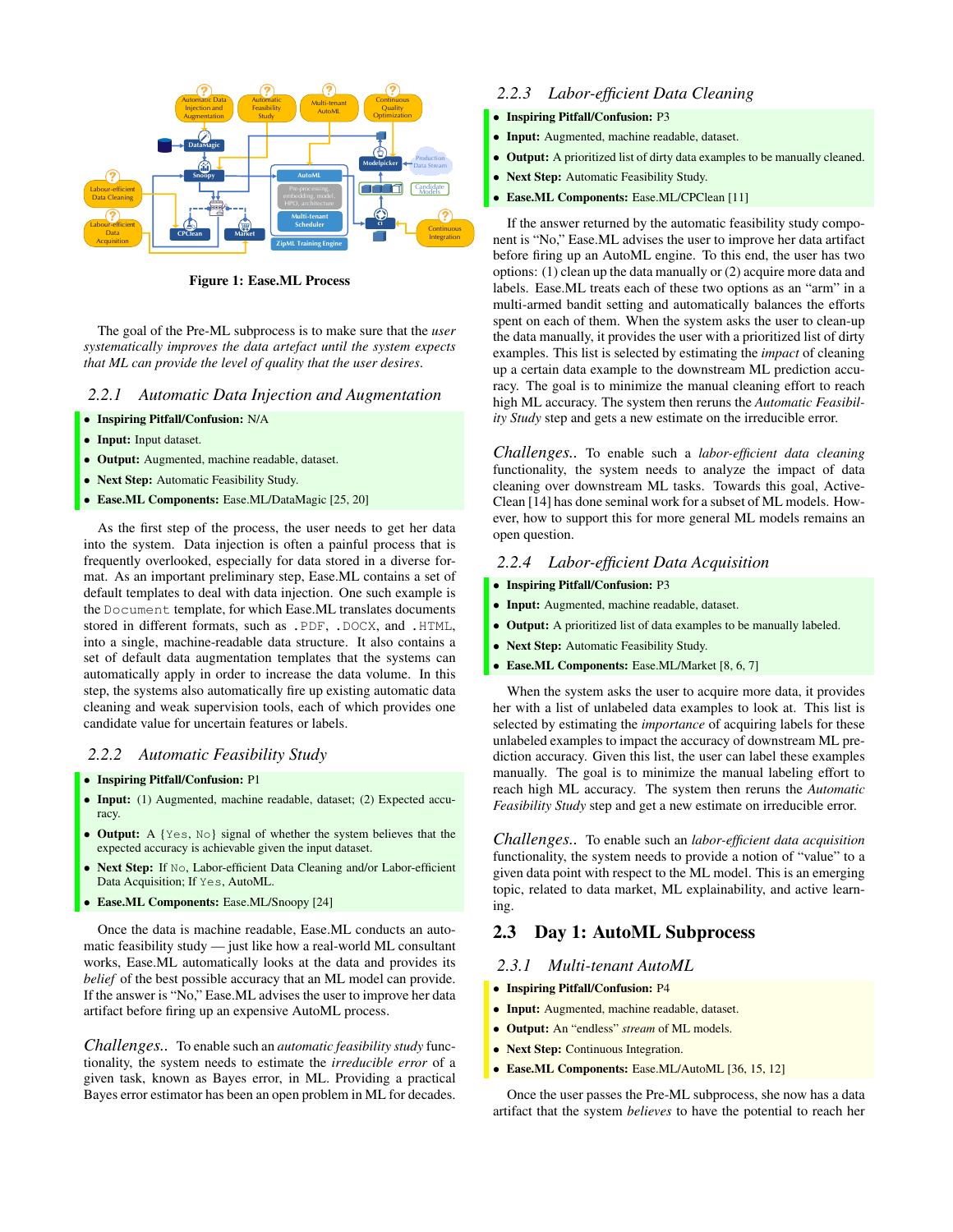

Figure 1: Ease.ML Process

The goal of the Pre-ML subprocess is to make sure that the *user systematically improves the data artefact until the system expects that ML can provide the level of quality that the user desires*.

## *2.2.1 Automatic Data Injection and Augmentation*

- Inspiring Pitfall/Confusion: N/A
- Input: Input dataset.
- Output: Augmented, machine readable, dataset.
- Next Step: Automatic Feasibility Study.
- Ease.ML Components: Ease.ML/DataMagic [25, 20]

As the first step of the process, the user needs to get her data into the system. Data injection is often a painful process that is frequently overlooked, especially for data stored in a diverse format. As an important preliminary step, Ease.ML contains a set of default templates to deal with data injection. One such example is the Document template, for which Ease.ML translates documents stored in different formats, such as .PDF, .DOCX, and .HTML, into a single, machine-readable data structure. It also contains a set of default data augmentation templates that the systems can automatically apply in order to increase the data volume. In this step, the systems also automatically fire up existing automatic data cleaning and weak supervision tools, each of which provides one candidate value for uncertain features or labels.

#### *2.2.2 Automatic Feasibility Study*

- Inspiring Pitfall/Confusion: P1
- Input: (1) Augmented, machine readable, dataset; (2) Expected accuracy.
- Output: A {Yes, No} signal of whether the system believes that the expected accuracy is achievable given the input dataset.
- Next Step: If No, Labor-efficient Data Cleaning and/or Labor-efficient Data Acquisition; If Yes, AutoML.
- Ease.ML Components: Ease.ML/Snoopy [24]

Once the data is machine readable, Ease.ML conducts an automatic feasibility study — just like how a real-world ML consultant works, Ease.ML automatically looks at the data and provides its *belief* of the best possible accuracy that an ML model can provide. If the answer is "No," Ease.ML advises the user to improve her data artifact before firing up an expensive AutoML process.

*Challenges..* To enable such an *automatic feasibility study* functionality, the system needs to estimate the *irreducible error* of a given task, known as Bayes error, in ML. Providing a practical Bayes error estimator has been an open problem in ML for decades.

# *2.2.3 Labor-efficient Data Cleaning*

## • Inspiring Pitfall/Confusion: P3

- Input: Augmented, machine readable, dataset.
- **Output:** A prioritized list of dirty data examples to be manually cleaned.
- Next Step: Automatic Feasibility Study.
- Ease.ML Components: Ease.ML/CPClean [11]

If the answer returned by the automatic feasibility study component is "No," Ease.ML advises the user to improve her data artifact before firing up an AutoML engine. To this end, the user has two options: (1) clean up the data manually or (2) acquire more data and labels. Ease.ML treats each of these two options as an "arm" in a multi-armed bandit setting and automatically balances the efforts spent on each of them. When the system asks the user to clean-up the data manually, it provides the user with a prioritized list of dirty examples. This list is selected by estimating the *impact* of cleaning up a certain data example to the downstream ML prediction accuracy. The goal is to minimize the manual cleaning effort to reach high ML accuracy. The system then reruns the *Automatic Feasibility Study* step and gets a new estimate on the irreducible error.

*Challenges..* To enable such a *labor-efficient data cleaning* functionality, the system needs to analyze the impact of data cleaning over downstream ML tasks. Towards this goal, Active-Clean [14] has done seminal work for a subset of ML models. However, how to support this for more general ML models remains an open question.

### *2.2.4 Labor-efficient Data Acquisition*

- Inspiring Pitfall/Confusion: P3
- Input: Augmented, machine readable, dataset.
- Output: A prioritized list of data examples to be manually labeled.
- Next Step: Automatic Feasibility Study.
- Ease.ML Components: Ease.ML/Market [8, 6, 7]

When the system asks the user to acquire more data, it provides her with a list of unlabeled data examples to look at. This list is selected by estimating the *importance* of acquiring labels for these unlabeled examples to impact the accuracy of downstream ML prediction accuracy. Given this list, the user can label these examples manually. The goal is to minimize the manual labeling effort to reach high ML accuracy. The system then reruns the *Automatic Feasibility Study* step and get a new estimate on irreducible error.

*Challenges..* To enable such an *labor-efficient data acquisition* functionality, the system needs to provide a notion of "value" to a given data point with respect to the ML model. This is an emerging topic, related to data market, ML explainability, and active learning.

# 2.3 Day 1: AutoML Subprocess

#### *2.3.1 Multi-tenant AutoML*

- Inspiring Pitfall/Confusion: P4
- Input: Augmented, machine readable, dataset.
- Output: An "endless" *stream* of ML models.
- Next Step: Continuous Integration.
- Ease.ML Components: Ease.ML/AutoML [36, 15, 12]

Once the user passes the Pre-ML subprocess, she now has a data artifact that the system *believes* to have the potential to reach her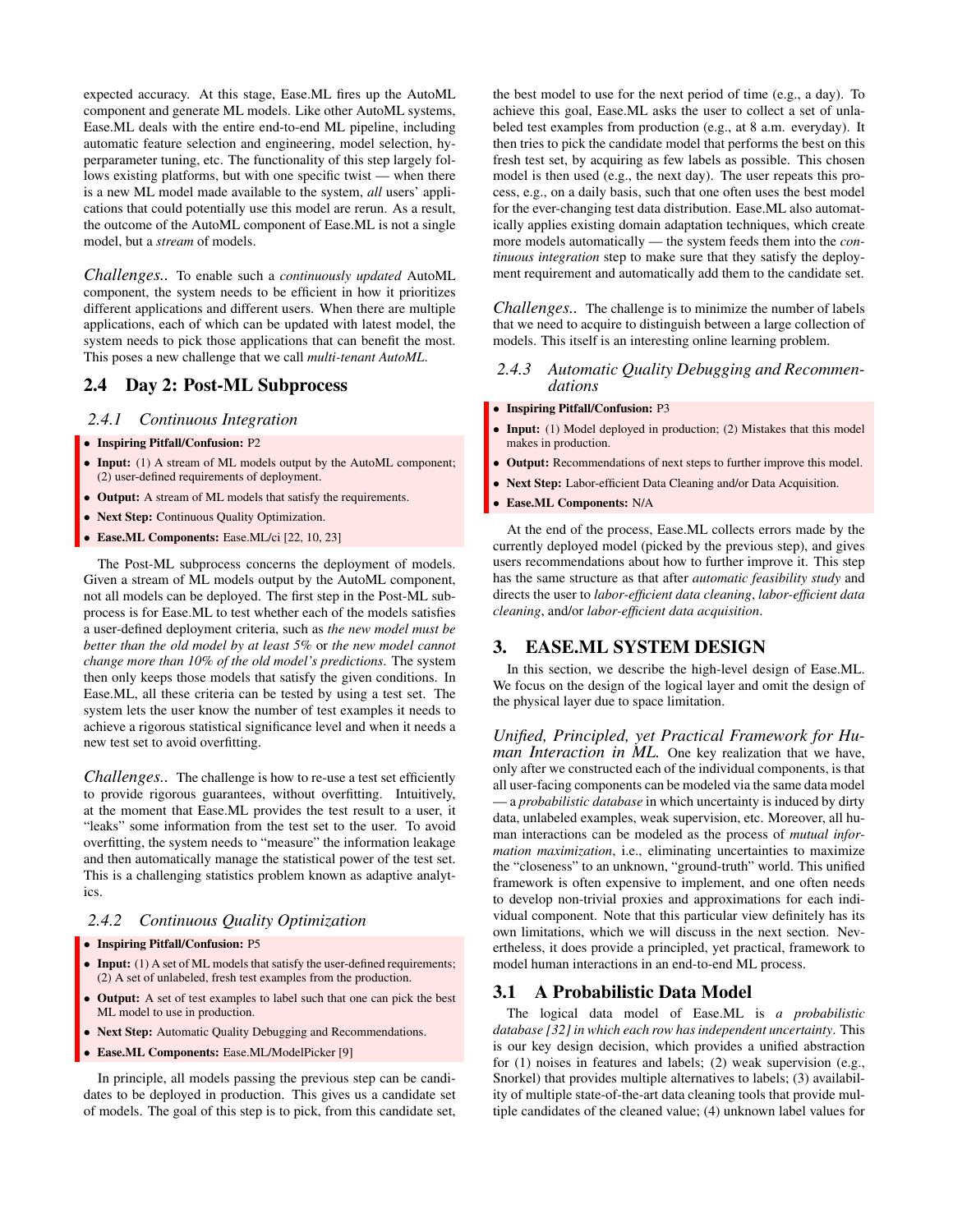expected accuracy. At this stage, Ease.ML fires up the AutoML component and generate ML models. Like other AutoML systems, Ease.ML deals with the entire end-to-end ML pipeline, including automatic feature selection and engineering, model selection, hyperparameter tuning, etc. The functionality of this step largely follows existing platforms, but with one specific twist — when there is a new ML model made available to the system, *all* users' applications that could potentially use this model are rerun. As a result, the outcome of the AutoML component of Ease.ML is not a single model, but a *stream* of models.

*Challenges..* To enable such a *continuously updated* AutoML component, the system needs to be efficient in how it prioritizes different applications and different users. When there are multiple applications, each of which can be updated with latest model, the system needs to pick those applications that can benefit the most. This poses a new challenge that we call *multi-tenant AutoML*.

# 2.4 Day 2: Post-ML Subprocess

## *2.4.1 Continuous Integration*

- Inspiring Pitfall/Confusion: P2
- Input: (1) A stream of ML models output by the AutoML component; (2) user-defined requirements of deployment.
- Output: A stream of ML models that satisfy the requirements.
- Next Step: Continuous Quality Optimization.
- Ease.ML Components: Ease.ML/ci [22, 10, 23]

The Post-ML subprocess concerns the deployment of models. Given a stream of ML models output by the AutoML component, not all models can be deployed. The first step in the Post-ML subprocess is for Ease.ML to test whether each of the models satisfies a user-defined deployment criteria, such as *the new model must be better than the old model by at least 5%* or *the new model cannot change more than 10% of the old model's predictions*. The system then only keeps those models that satisfy the given conditions. In Ease.ML, all these criteria can be tested by using a test set. The system lets the user know the number of test examples it needs to achieve a rigorous statistical significance level and when it needs a new test set to avoid overfitting.

*Challenges..* The challenge is how to re-use a test set efficiently to provide rigorous guarantees, without overfitting. Intuitively, at the moment that Ease.ML provides the test result to a user, it "leaks" some information from the test set to the user. To avoid overfitting, the system needs to "measure" the information leakage and then automatically manage the statistical power of the test set. This is a challenging statistics problem known as adaptive analytics.

## *2.4.2 Continuous Quality Optimization*

#### • Inspiring Pitfall/Confusion: P5

- Input: (1) A set of ML models that satisfy the user-defined requirements; (2) A set of unlabeled, fresh test examples from the production.
- Output: A set of test examples to label such that one can pick the best ML model to use in production.
- Next Step: Automatic Quality Debugging and Recommendations.
- Ease.ML Components: Ease.ML/ModelPicker [9]

In principle, all models passing the previous step can be candidates to be deployed in production. This gives us a candidate set of models. The goal of this step is to pick, from this candidate set,

the best model to use for the next period of time (e.g., a day). To achieve this goal, Ease.ML asks the user to collect a set of unlabeled test examples from production (e.g., at 8 a.m. everyday). It then tries to pick the candidate model that performs the best on this fresh test set, by acquiring as few labels as possible. This chosen model is then used (e.g., the next day). The user repeats this process, e.g., on a daily basis, such that one often uses the best model for the ever-changing test data distribution. Ease.ML also automatically applies existing domain adaptation techniques, which create more models automatically — the system feeds them into the *continuous integration* step to make sure that they satisfy the deployment requirement and automatically add them to the candidate set.

*Challenges..* The challenge is to minimize the number of labels that we need to acquire to distinguish between a large collection of models. This itself is an interesting online learning problem.

### *2.4.3 Automatic Quality Debugging and Recommendations*

#### • Inspiring Pitfall/Confusion: P3

- Input: (1) Model deployed in production; (2) Mistakes that this model makes in production.
- Output: Recommendations of next steps to further improve this model.
- Next Step: Labor-efficient Data Cleaning and/or Data Acquisition.
- Ease.ML Components: N/A

At the end of the process, Ease.ML collects errors made by the currently deployed model (picked by the previous step), and gives users recommendations about how to further improve it. This step has the same structure as that after *automatic feasibility study* and directs the user to *labor-efficient data cleaning*, *labor-efficient data cleaning*, and/or *labor-efficient data acquisition*.

## 3. EASE.ML SYSTEM DESIGN

In this section, we describe the high-level design of Ease.ML. We focus on the design of the logical layer and omit the design of the physical layer due to space limitation.

*Unified, Principled, yet Practical Framework for Human Interaction in ML.* One key realization that we have, only after we constructed each of the individual components, is that all user-facing components can be modeled via the same data model — a *probabilistic database* in which uncertainty is induced by dirty data, unlabeled examples, weak supervision, etc. Moreover, all human interactions can be modeled as the process of *mutual information maximization*, i.e., eliminating uncertainties to maximize the "closeness" to an unknown, "ground-truth" world. This unified framework is often expensive to implement, and one often needs to develop non-trivial proxies and approximations for each individual component. Note that this particular view definitely has its own limitations, which we will discuss in the next section. Nevertheless, it does provide a principled, yet practical, framework to model human interactions in an end-to-end ML process.

# 3.1 A Probabilistic Data Model

The logical data model of Ease.ML is *a probabilistic database [32] in which each row has independent uncertainty*. This is our key design decision, which provides a unified abstraction for (1) noises in features and labels; (2) weak supervision (e.g., Snorkel) that provides multiple alternatives to labels; (3) availability of multiple state-of-the-art data cleaning tools that provide multiple candidates of the cleaned value; (4) unknown label values for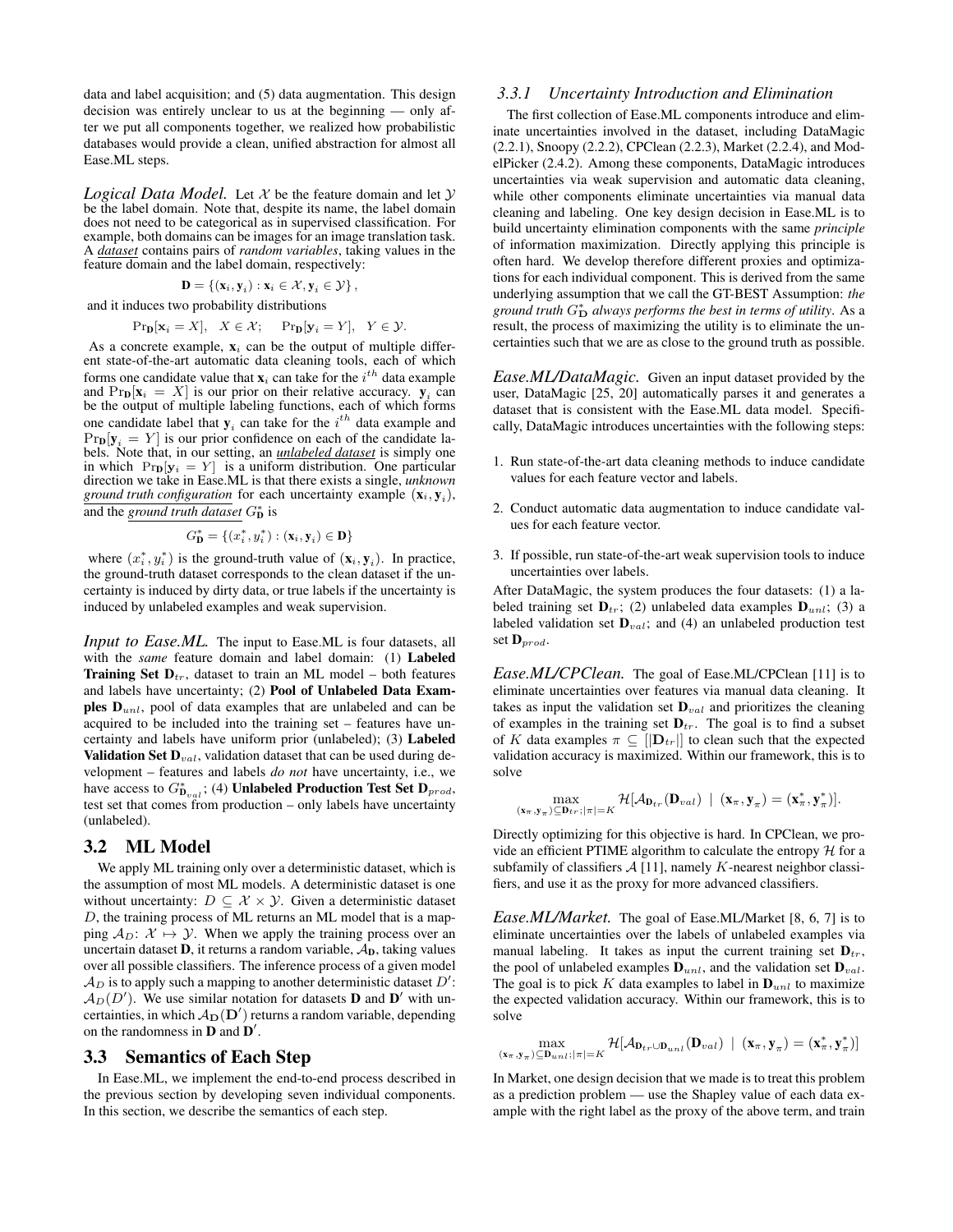data and label acquisition; and (5) data augmentation. This design decision was entirely unclear to us at the beginning — only after we put all components together, we realized how probabilistic databases would provide a clean, unified abstraction for almost all Ease.ML steps.

*Logical Data Model.* Let  $X$  be the feature domain and let  $Y$ be the label domain. Note that, despite its name, the label domain does not need to be categorical as in supervised classification. For example, both domains can be images for an image translation task. A *dataset* contains pairs of *random variables*, taking values in the feature domain and the label domain, respectively:

$$
\mathbf{D} = \{(\mathbf{x}_i, \mathbf{y}_i) : \mathbf{x}_i \in \mathcal{X}, \mathbf{y}_i \in \mathcal{Y}\},\
$$

and it induces two probability distributions

$$
\Pr_{\mathbf{D}}[\mathbf{x}_i = X], \quad X \in \mathcal{X}; \quad \Pr_{\mathbf{D}}[\mathbf{y}_i = Y], \quad Y \in \mathcal{Y}.
$$

As a concrete example,  $x_i$  can be the output of multiple different state-of-the-art automatic data cleaning tools, each of which forms one candidate value that  $\mathbf{x}_i$  can take for the  $i^{th}$  data example and  $\Pr_{\mathbf{D}}[\mathbf{x}_i = X]$  is our prior on their relative accuracy.  $\mathbf{y}_i$  can be the output of multiple labeling functions, each of which forms one candidate label that  $y_i$  can take for the  $i^{th}$  data example and  $Pr<sub>D</sub>[y<sub>i</sub> = Y]$  is our prior confidence on each of the candidate labels. Note that, in our setting, an *unlabeled dataset* is simply one in which  $Pr_{\mathbf{D}}[\mathbf{y}_i = Y]$  is a uniform distribution. One particular direction we take in Ease.ML is that there exists a single, *unknown ground truth configuration* for each uncertainty example  $(x_i, y_i)$ , and the *ground truth dataset*  $G_{\mathbf{D}}^*$  is

$$
G^*_{\mathbf{D}} = \{(x_i^*, y_i^*): (\mathbf{x}_i, \mathbf{y}_i) \in \mathbf{D}\}
$$

where  $(x_i^*, y_i^*)$  is the ground-truth value of  $(x_i, y_i)$ . In practice, the ground-truth dataset corresponds to the clean dataset if the uncertainty is induced by dirty data, or true labels if the uncertainty is induced by unlabeled examples and weak supervision.

*Input to Ease.ML*. The input to Ease.ML is four datasets, all with the *same* feature domain and label domain: (1) Labeled **Training Set D**<sub>tr</sub>, dataset to train an ML model – both features and labels have uncertainty; (2) Pool of Unlabeled Data Examples  $D_{unl}$ , pool of data examples that are unlabeled and can be acquired to be included into the training set – features have uncertainty and labels have uniform prior (unlabeled); (3) Labeled **Validation Set**  $D_{val}$ **, validation dataset that can be used during de**velopment – features and labels *do not* have uncertainty, i.e., we have access to  $G^*_{D_{val}}$ ; (4) Unlabeled Production Test Set  $D_{prod}$ , test set that comes from production – only labels have uncertainty (unlabeled).

## 3.2 ML Model

We apply ML training only over a deterministic dataset, which is the assumption of most ML models. A deterministic dataset is one without uncertainty:  $D \subseteq \mathcal{X} \times \mathcal{Y}$ . Given a deterministic dataset D, the training process of ML returns an ML model that is a mapping  $A_D$ :  $X \mapsto Y$ . When we apply the training process over an uncertain dataset  $D$ , it returns a random variable,  $A_D$ , taking values over all possible classifiers. The inference process of a given model  $A_D$  is to apply such a mapping to another deterministic dataset  $D'$ :  $\mathcal{A}_D(D')$ . We use similar notation for datasets **D** and **D**' with uncertainties, in which  $A_D(D')$  returns a random variable, depending on the randomness in  $\bf{D}$  and  $\bf{D}'$ .

#### 3.3 Semantics of Each Step

In Ease.ML, we implement the end-to-end process described in the previous section by developing seven individual components. In this section, we describe the semantics of each step.

#### *3.3.1 Uncertainty Introduction and Elimination*

The first collection of Ease.ML components introduce and eliminate uncertainties involved in the dataset, including DataMagic (2.2.1), Snoopy (2.2.2), CPClean (2.2.3), Market (2.2.4), and ModelPicker (2.4.2). Among these components, DataMagic introduces uncertainties via weak supervision and automatic data cleaning, while other components eliminate uncertainties via manual data cleaning and labeling. One key design decision in Ease.ML is to build uncertainty elimination components with the same *principle* of information maximization. Directly applying this principle is often hard. We develop therefore different proxies and optimizations for each individual component. This is derived from the same underlying assumption that we call the GT-BEST Assumption: *the* ground truth  $G_{\mathbf{D}}^*$  always performs the best in terms of utility. As a result, the process of maximizing the utility is to eliminate the uncertainties such that we are as close to the ground truth as possible.

*Ease.ML/DataMagic.* Given an input dataset provided by the user, DataMagic [25, 20] automatically parses it and generates a dataset that is consistent with the Ease.ML data model. Specifically, DataMagic introduces uncertainties with the following steps:

- 1. Run state-of-the-art data cleaning methods to induce candidate values for each feature vector and labels.
- 2. Conduct automatic data augmentation to induce candidate values for each feature vector.
- 3. If possible, run state-of-the-art weak supervision tools to induce uncertainties over labels.

After DataMagic, the system produces the four datasets: (1) a labeled training set  $\mathbf{D}_{tr}$ ; (2) unlabeled data examples  $\mathbf{D}_{unl}$ ; (3) a labeled validation set  $\mathbf{D}_{val}$ ; and (4) an unlabeled production test set  $\mathbf{D}_{prod}$ .

*Ease.ML/CPClean.* The goal of Ease.ML/CPClean [11] is to eliminate uncertainties over features via manual data cleaning. It takes as input the validation set  $\mathbf{D}_{val}$  and prioritizes the cleaning of examples in the training set  $D_{tr}$ . The goal is to find a subset of K data examples  $\pi \subseteq [|\mathbf{D}_{tr}|]$  to clean such that the expected validation accuracy is maximized. Within our framework, this is to solve

$$
\max_{(\mathbf{x}_{\pi},\mathbf{y}_{\pi}) \subseteq \mathbf{D}_{tr} ; |\pi|=K} \mathcal{H}[\mathcal{A}_{\mathbf{D}_{tr}}(\mathbf{D}_{val}) \mid (\mathbf{x}_{\pi},\mathbf{y}_{\pi}) = (\mathbf{x}_{\pi}^*,\mathbf{y}_{\pi}^*)].
$$

Directly optimizing for this objective is hard. In CPClean, we provide an efficient PTIME algorithm to calculate the entropy  $H$  for a subfamily of classifiers  $A$  [11], namely K-nearest neighbor classifiers, and use it as the proxy for more advanced classifiers.

*Ease.ML/Market.* The goal of Ease.ML/Market [8, 6, 7] is to eliminate uncertainties over the labels of unlabeled examples via manual labeling. It takes as input the current training set  $D_{tr}$ , the pool of unlabeled examples  $\mathbf{D}_{unl}$ , and the validation set  $\mathbf{D}_{val}$ . The goal is to pick K data examples to label in  $\mathbf{D}_{unl}$  to maximize the expected validation accuracy. Within our framework, this is to solve

$$
\max_{(\mathbf{x}_{\pi},\mathbf{y}_{\pi}) \subseteq \mathbf{D}_{unl}; |\pi| = K} \mathcal{H}[\mathcal{A}_{\mathbf{D}_{tr} \cup \mathbf{D}_{unl}}(\mathbf{D}_{val}) \mid (\mathbf{x}_{\pi},\mathbf{y}_{\pi}) = (\mathbf{x}_{\pi}^*,\mathbf{y}_{\pi}^*)]
$$

In Market, one design decision that we made is to treat this problem as a prediction problem — use the Shapley value of each data example with the right label as the proxy of the above term, and train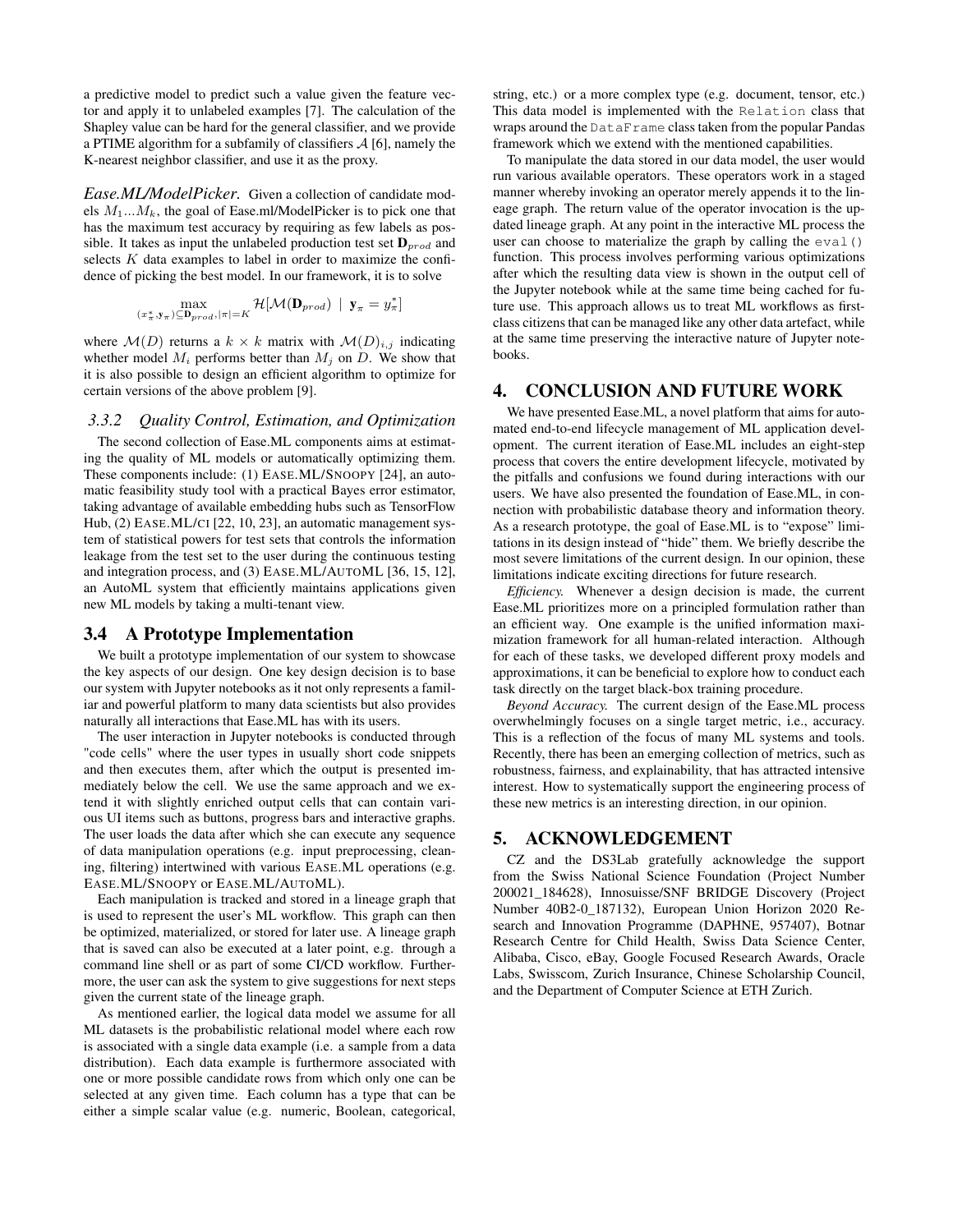a predictive model to predict such a value given the feature vector and apply it to unlabeled examples [7]. The calculation of the Shapley value can be hard for the general classifier, and we provide a PTIME algorithm for a subfamily of classifiers  $A$  [6], namely the K-nearest neighbor classifier, and use it as the proxy.

*Ease.ML/ModelPicker.* Given a collection of candidate models  $M_1...M_k$ , the goal of Ease.ml/ModelPicker is to pick one that has the maximum test accuracy by requiring as few labels as possible. It takes as input the unlabeled production test set  $D_{prod}$  and selects  $K$  data examples to label in order to maximize the confidence of picking the best model. In our framework, it is to solve

$$
\max_{(x_\pi^*,\mathbf{y}_\pi) \subseteq \mathbf{D}_{prod}, |\pi| = K} \mathcal{H}[\mathcal{M}(\mathbf{D}_{prod}) \ | \ \mathbf{y}_\pi = y_\pi^*]
$$

where  $\mathcal{M}(D)$  returns a  $k \times k$  matrix with  $\mathcal{M}(D)_{i,j}$  indicating whether model  $M_i$  performs better than  $M_j$  on  $D$ . We show that it is also possible to design an efficient algorithm to optimize for certain versions of the above problem [9].

#### *3.3.2 Quality Control, Estimation, and Optimization*

The second collection of Ease.ML components aims at estimating the quality of ML models or automatically optimizing them. These components include: (1) EASE.ML/SNOOPY [24], an automatic feasibility study tool with a practical Bayes error estimator, taking advantage of available embedding hubs such as TensorFlow Hub, (2) EASE.ML/CI [22, 10, 23], an automatic management system of statistical powers for test sets that controls the information leakage from the test set to the user during the continuous testing and integration process, and (3) EASE.ML/AUTOML [36, 15, 12], an AutoML system that efficiently maintains applications given new ML models by taking a multi-tenant view.

## 3.4 A Prototype Implementation

We built a prototype implementation of our system to showcase the key aspects of our design. One key design decision is to base our system with Jupyter notebooks as it not only represents a familiar and powerful platform to many data scientists but also provides naturally all interactions that Ease.ML has with its users.

The user interaction in Jupyter notebooks is conducted through "code cells" where the user types in usually short code snippets and then executes them, after which the output is presented immediately below the cell. We use the same approach and we extend it with slightly enriched output cells that can contain various UI items such as buttons, progress bars and interactive graphs. The user loads the data after which she can execute any sequence of data manipulation operations (e.g. input preprocessing, cleaning, filtering) intertwined with various EASE.ML operations (e.g. EASE.ML/SNOOPY or EASE.ML/AUTOML).

Each manipulation is tracked and stored in a lineage graph that is used to represent the user's ML workflow. This graph can then be optimized, materialized, or stored for later use. A lineage graph that is saved can also be executed at a later point, e.g. through a command line shell or as part of some CI/CD workflow. Furthermore, the user can ask the system to give suggestions for next steps given the current state of the lineage graph.

As mentioned earlier, the logical data model we assume for all ML datasets is the probabilistic relational model where each row is associated with a single data example (i.e. a sample from a data distribution). Each data example is furthermore associated with one or more possible candidate rows from which only one can be selected at any given time. Each column has a type that can be either a simple scalar value (e.g. numeric, Boolean, categorical,

string, etc.) or a more complex type (e.g. document, tensor, etc.) This data model is implemented with the Relation class that wraps around the DataFrame class taken from the popular Pandas framework which we extend with the mentioned capabilities.

To manipulate the data stored in our data model, the user would run various available operators. These operators work in a staged manner whereby invoking an operator merely appends it to the lineage graph. The return value of the operator invocation is the updated lineage graph. At any point in the interactive ML process the user can choose to materialize the graph by calling the eval () function. This process involves performing various optimizations after which the resulting data view is shown in the output cell of the Jupyter notebook while at the same time being cached for future use. This approach allows us to treat ML workflows as firstclass citizens that can be managed like any other data artefact, while at the same time preserving the interactive nature of Jupyter notebooks.

## 4. CONCLUSION AND FUTURE WORK

We have presented Ease.ML, a novel platform that aims for automated end-to-end lifecycle management of ML application development. The current iteration of Ease.ML includes an eight-step process that covers the entire development lifecycle, motivated by the pitfalls and confusions we found during interactions with our users. We have also presented the foundation of Ease.ML, in connection with probabilistic database theory and information theory. As a research prototype, the goal of Ease.ML is to "expose" limitations in its design instead of "hide" them. We briefly describe the most severe limitations of the current design. In our opinion, these limitations indicate exciting directions for future research.

*Efficiency.* Whenever a design decision is made, the current Ease.ML prioritizes more on a principled formulation rather than an efficient way. One example is the unified information maximization framework for all human-related interaction. Although for each of these tasks, we developed different proxy models and approximations, it can be beneficial to explore how to conduct each task directly on the target black-box training procedure.

*Beyond Accuracy.* The current design of the Ease.ML process overwhelmingly focuses on a single target metric, i.e., accuracy. This is a reflection of the focus of many ML systems and tools. Recently, there has been an emerging collection of metrics, such as robustness, fairness, and explainability, that has attracted intensive interest. How to systematically support the engineering process of these new metrics is an interesting direction, in our opinion.

# 5. ACKNOWLEDGEMENT

CZ and the DS3Lab gratefully acknowledge the support from the Swiss National Science Foundation (Project Number 200021\_184628), Innosuisse/SNF BRIDGE Discovery (Project Number 40B2-0\_187132), European Union Horizon 2020 Research and Innovation Programme (DAPHNE, 957407), Botnar Research Centre for Child Health, Swiss Data Science Center, Alibaba, Cisco, eBay, Google Focused Research Awards, Oracle Labs, Swisscom, Zurich Insurance, Chinese Scholarship Council, and the Department of Computer Science at ETH Zurich.